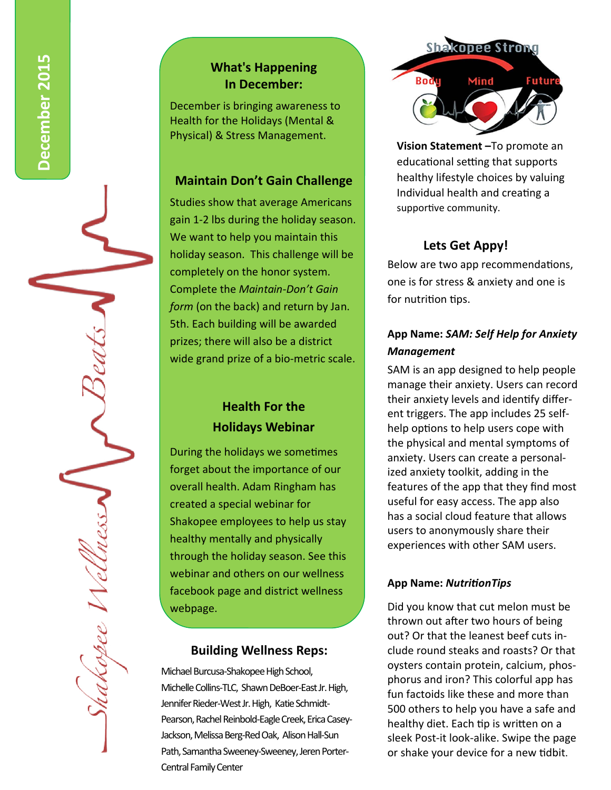# **What's Happening In December:**

December is bringing awareness to Health for the Holidays (Mental & Physical) & Stress Management.

## **Maintain Don't Gain Challenge**

Studies show that average Americans gain 1 ‐ 2 lbs during the holiday season. We want to help you maintain this holiday season. This challenge will be completely on the honor system. Complete the *Maintain ‐Don't Gain form* (on the back) and return by Jan. 5th. Each building will be awarded prizes; there will also be a district wide grand prize of a bio-metric scale.

# **Health For the Holidays Webinar**

During the holidays we sometimes forget about the importance of our overall health. Adam Ringham has created a special webinar for Shakopee employees to help us stay healthy mentally and physically through the holiday season. See this webinar and others on our wellness facebook page and district wellness webpage.

## **Building Wellness Reps:**

Michael Burcusa-Shakopee High School, Michelle Collins-TLC, Shawn DeBoer-East Jr. High, Jennifer Rieder-West Jr. High, Katie Schmidt-Pearson, Rachel Reinbold-Eagle Creek, Erica Casey-Jackson, Melissa Berg-Red Oak, Alison Hall-Sun Path, Samantha Sweeney-Sweeney, Jeren Porter-Central Family Center



**Vision Statement –**To promote an educational setting that supports healthy lifestyle choices by valuing Individual health and creating a supportive community.

# **Lets Get Appy!**

Below are two app recommendations, one is for stress & anxiety and one is for nutrition tips.

## **App Name:** *SAM: Self Help for Anxiety Management*

SAM is an app designed to help people manage their anxiety. Users can record their anxiety levels and identify different triggers. The app includes 25 self ‐ help options to help users cope with the physical and mental symptoms of anxiety. Users can create a personal ‐ ized anxiety toolkit, adding in the features of the app that they find most useful for easy access. The app also has a social cloud feature that allows users to anonymously share their experiences with other SAM users.

#### **App Name:** *Nutri ƟonTips*

Did you know that cut melon must be thrown out after two hours of being out? Or that the leanest beef cuts in ‐ clude round steaks and roasts? Or that oysters contain protein, calcium, phos ‐ phorus and iron? This colorful app has fun factoids like these and more than 500 others to help you have a safe and healthy diet. Each tip is written on a sleek Post ‐it look ‐alike. Swipe the page or shake your device for a new tidbit.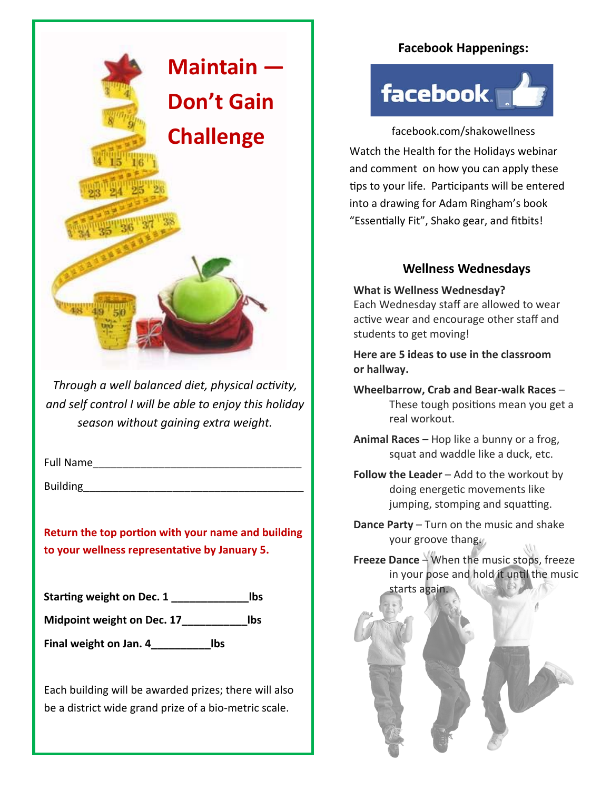

*Through a well balanced diet, physical activity, and self control I will be able to enjoy this holiday season without gaining extra weight.* 

Full Name\_\_\_\_\_\_\_\_\_\_\_\_\_\_\_\_\_\_\_\_\_\_\_\_\_\_\_\_\_\_\_\_\_\_\_

Building\_\_\_\_\_\_\_\_\_\_\_\_\_\_\_\_\_\_\_\_\_\_\_\_\_\_\_\_\_\_\_\_\_\_\_\_\_

**Return the top porƟon with your name and building to your wellness representaƟve by January 5.** 

Starting weight on Dec. 1 \_\_\_\_\_\_\_\_\_\_\_\_\_\_ lbs **Midpoint weight on Dec. 17\_\_\_\_\_\_\_\_\_\_\_lbs Final weight on Jan. 4\_\_\_\_\_\_\_\_\_\_lbs** 

Each building will be awarded prizes; there will also be a district wide grand prize of a bio-metric scale.

## **Facebook Happenings:**



Watch the Health for the Holidays webinar and comment on how you can apply these tips to your life. Participants will be entered into a drawing for Adam Ringham's book "Essentially Fit", Shako gear, and fitbits! facebook.com/shakowellness

## **Wellness Wednesdays**

#### **What is Wellness Wednesday?**

Each Wednesday staff are allowed to wear active wear and encourage other staff and students to get moving!

**Here are 5 ideas to use in the classroom or hallway.**

**Wheelbarrow, Crab and Bear‐walk Races** – These tough positions mean you get a real workout.

**Animal Races** – Hop like a bunny or a frog, squat and waddle like a duck, etc.

**Follow the Leader** – Add to the workout by doing energetic movements like jumping, stomping and squatting.

**Dance Party** – Turn on the music and shake your groove thang.

**Freeze Dance** – When the music stops, freeze in your pose and hold it until the music starts again.

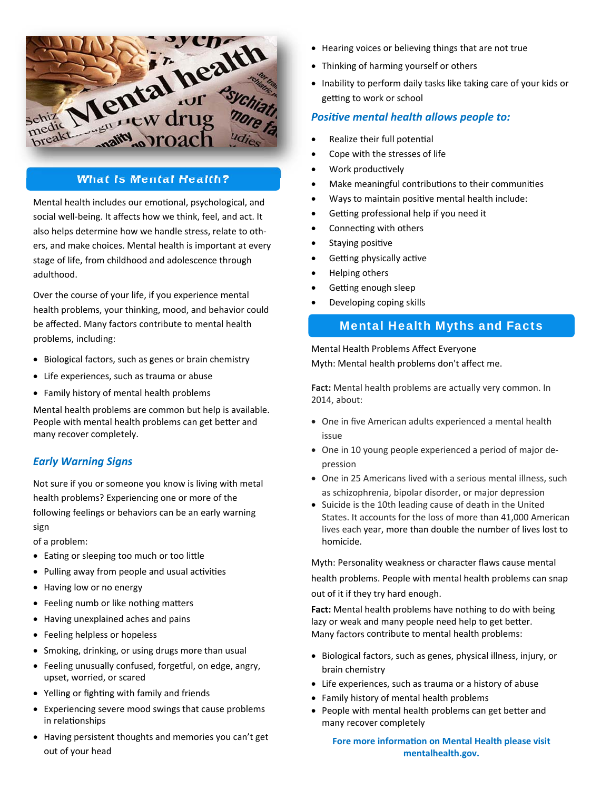

#### What Is Mental Health?

Mental health includes our emotional, psychological, and social well-being. It affects how we think, feel, and act. It also helps determine how we handle stress, relate to oth‐ ers, and make choices. Mental health is important at every stage of life, from childhood and adolescence through adulthood.

Over the course of your life, if you experience mental health problems, your thinking, mood, and behavior could be affected. Many factors contribute to mental health problems, including:

- Biological factors, such as genes or brain chemistry
- Life experiences, such as trauma or abuse
- Family history of mental health problems

Mental health problems are common but help is available. People with mental health problems can get better and many recover completely.

#### *Early Warning Signs*

Not sure if you or someone you know is living with metal health problems? Experiencing one or more of the following feelings or behaviors can be an early warning sign

of a problem:

- Eating or sleeping too much or too little
- Pulling away from people and usual activities
- Having low or no energy
- Feeling numb or like nothing matters
- Having unexplained aches and pains
- Feeling helpless or hopeless
- Smoking, drinking, or using drugs more than usual
- Feeling unusually confused, forgetful, on edge, angry, upset, worried, or scared
- Yelling or fighting with family and friends
- Experiencing severe mood swings that cause problems in relationships
- Having persistent thoughts and memories you can't get out of your head
- Hearing voices or believing things that are not true
- Thinking of harming yourself or others
- Inability to perform daily tasks like taking care of your kids or getting to work or school

#### *PosiƟve mental health allows people to:*

- Realize their full potential
- Cope with the stresses of life
- Work productively
- Make meaningful contributions to their communities
- Ways to maintain positive mental health include:
- Getting professional help if you need it
- Connecting with others
- Staying positive
- Getting physically active
- Helping others
- Getting enough sleep
- Developing coping skills

#### Mental Health Myths and Facts

Mental Health Problems Affect Everyone Myth: Mental health problems don't affect me.

**Fact:** Mental health problems are actually very common. In 2014, about:

- One in five American adults experienced a mental health issue
- One in 10 young people experienced a period of major de‐ pression
- One in 25 Americans lived with a serious mental illness, such as schizophrenia, bipolar disorder, or major depression
- Suicide is the 10th leading cause of death in the United States. It accounts for the loss of more than 41,000 American lives each year, more than double the number of lives lost to homicide.

Myth: Personality weakness or character flaws cause mental health problems. People with mental health problems can snap out of it if they try hard enough.

**Fact:** Mental health problems have nothing to do with being lazy or weak and many people need help to get better. Many factors contribute to mental health problems:

- Biological factors, such as genes, physical illness, injury, or brain chemistry
- Life experiences, such as trauma or a history of abuse
- Family history of mental health problems
- People with mental health problems can get better and many recover completely

**Fore more informaƟon on Mental Health please visit mentalhealth.gov.**